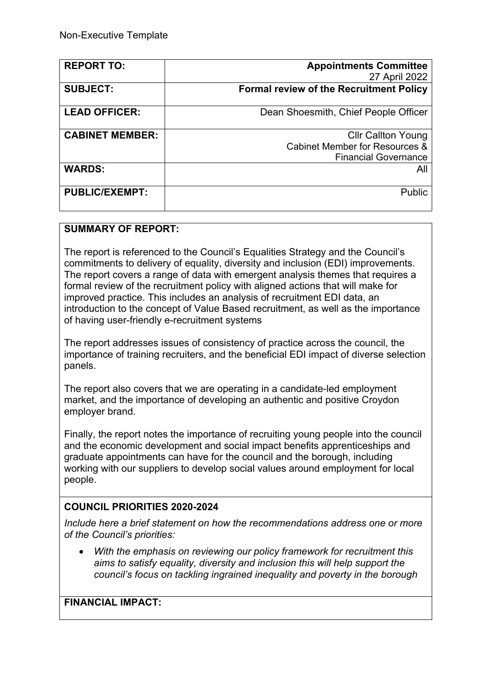| <b>REPORT TO:</b>      | <b>Appointments Committee</b>                  |
|------------------------|------------------------------------------------|
|                        | 27 April 2022                                  |
| <b>SUBJECT:</b>        | <b>Formal review of the Recruitment Policy</b> |
| <b>LEAD OFFICER:</b>   |                                                |
|                        | Dean Shoesmith, Chief People Officer           |
| <b>CABINET MEMBER:</b> | <b>CIIr Callton Young</b>                      |
|                        | Cabinet Member for Resources &                 |
|                        | <b>Financial Governance</b>                    |
| <b>WARDS:</b>          | All                                            |
| <b>PUBLIC/EXEMPT:</b>  | Public                                         |
|                        |                                                |

### **SUMMARY OF REPORT:**

The report is referenced to the Council's Equalities Strategy and the Council's commitments to delivery of equality, diversity and inclusion (EDI) improvements. The report covers a range of data with emergent analysis themes that requires a formal review of the recruitment policy with aligned actions that will make for improved practice. This includes an analysis of recruitment EDI data, an introduction to the concept of Value Based recruitment, as well as the importance of having user-friendly e-recruitment systems

The report addresses issues of consistency of practice across the council, the importance of training recruiters, and the beneficial EDI impact of diverse selection panels.

The report also covers that we are operating in a candidate-led employment market, and the importance of developing an authentic and positive Croydon employer brand.

Finally, the report notes the importance of recruiting young people into the council and the economic development and social impact benefits apprenticeships and graduate appointments can have for the council and the borough, including working with our suppliers to develop social values around employment for local people.

# **COUNCIL PRIORITIES 2020-2024**

*Include here a brief statement on how the recommendations address one or more of the Council's priorities:* 

 *With the emphasis on reviewing our policy framework for recruitment this aims to satisfy equality, diversity and inclusion this will help support the council's focus on tackling ingrained inequality and poverty in the borough*

**FINANCIAL IMPACT:**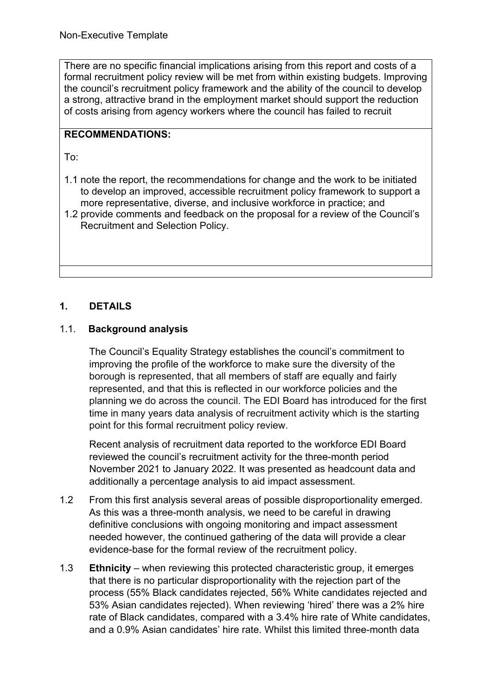There are no specific financial implications arising from this report and costs of a formal recruitment policy review will be met from within existing budgets. Improving the council's recruitment policy framework and the ability of the council to develop a strong, attractive brand in the employment market should support the reduction of costs arising from agency workers where the council has failed to recruit

# **RECOMMENDATIONS:**

To:

- 1.1 note the report, the recommendations for change and the work to be initiated to develop an improved, accessible recruitment policy framework to support a more representative, diverse, and inclusive workforce in practice; and
- 1.2 provide comments and feedback on the proposal for a review of the Council's Recruitment and Selection Policy.

# **1. DETAILS**

### 1.1.**Background analysis**

The Council's Equality Strategy establishes the council's commitment to improving the profile of the workforce to make sure the diversity of the borough is represented, that all members of staff are equally and fairly represented, and that this is reflected in our workforce policies and the planning we do across the council. The EDI Board has introduced for the first time in many years data analysis of recruitment activity which is the starting point for this formal recruitment policy review.

Recent analysis of recruitment data reported to the workforce EDI Board reviewed the council's recruitment activity for the three-month period November 2021 to January 2022. It was presented as headcount data and additionally a percentage analysis to aid impact assessment.

- 1.2 From this first analysis several areas of possible disproportionality emerged. As this was a three-month analysis, we need to be careful in drawing definitive conclusions with ongoing monitoring and impact assessment needed however, the continued gathering of the data will provide a clear evidence-base for the formal review of the recruitment policy.
- 1.3 **Ethnicity** when reviewing this protected characteristic group, it emerges that there is no particular disproportionality with the rejection part of the process (55% Black candidates rejected, 56% White candidates rejected and 53% Asian candidates rejected). When reviewing 'hired' there was a 2% hire rate of Black candidates, compared with a 3.4% hire rate of White candidates, and a 0.9% Asian candidates' hire rate. Whilst this limited three-month data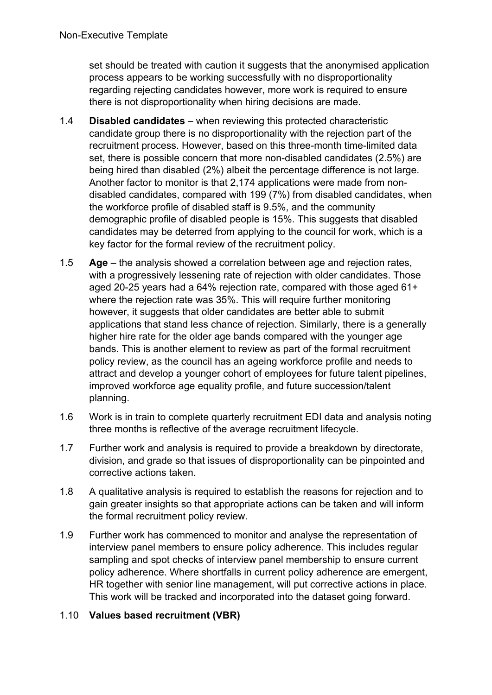set should be treated with caution it suggests that the anonymised application process appears to be working successfully with no disproportionality regarding rejecting candidates however, more work is required to ensure there is not disproportionality when hiring decisions are made.

- 1.4 **Disabled candidates** when reviewing this protected characteristic candidate group there is no disproportionality with the rejection part of the recruitment process. However, based on this three-month time-limited data set, there is possible concern that more non-disabled candidates (2.5%) are being hired than disabled (2%) albeit the percentage difference is not large. Another factor to monitor is that 2,174 applications were made from nondisabled candidates, compared with 199 (7%) from disabled candidates, when the workforce profile of disabled staff is 9.5%, and the community demographic profile of disabled people is 15%. This suggests that disabled candidates may be deterred from applying to the council for work, which is a key factor for the formal review of the recruitment policy.
- 1.5 **Age** the analysis showed a correlation between age and rejection rates, with a progressively lessening rate of rejection with older candidates. Those aged 20-25 years had a 64% rejection rate, compared with those aged 61+ where the rejection rate was 35%. This will require further monitoring however, it suggests that older candidates are better able to submit applications that stand less chance of rejection. Similarly, there is a generally higher hire rate for the older age bands compared with the younger age bands. This is another element to review as part of the formal recruitment policy review, as the council has an ageing workforce profile and needs to attract and develop a younger cohort of employees for future talent pipelines, improved workforce age equality profile, and future succession/talent planning.
- 1.6 Work is in train to complete quarterly recruitment EDI data and analysis noting three months is reflective of the average recruitment lifecycle.
- 1.7 Further work and analysis is required to provide a breakdown by directorate, division, and grade so that issues of disproportionality can be pinpointed and corrective actions taken.
- 1.8 A qualitative analysis is required to establish the reasons for rejection and to gain greater insights so that appropriate actions can be taken and will inform the formal recruitment policy review.
- 1.9 Further work has commenced to monitor and analyse the representation of interview panel members to ensure policy adherence. This includes regular sampling and spot checks of interview panel membership to ensure current policy adherence. Where shortfalls in current policy adherence are emergent, HR together with senior line management, will put corrective actions in place. This work will be tracked and incorporated into the dataset going forward.

# 1.10 **Values based recruitment (VBR)**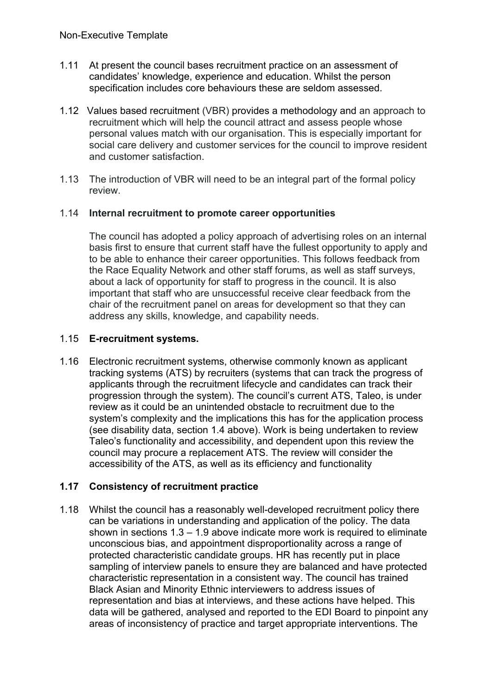- 1.11 At present the council bases recruitment practice on an assessment of candidates' knowledge, experience and education. Whilst the person specification includes core behaviours these are seldom assessed.
- 1.12 Values based recruitment (VBR) provides a methodology and an approach to recruitment which will help the council attract and assess people whose personal values match with our organisation. This is especially important for social care delivery and customer services for the council to improve resident and customer satisfaction.
- 1.13 The introduction of VBR will need to be an integral part of the formal policy review.

### 1.14 **Internal recruitment to promote career opportunities**

The council has adopted a policy approach of advertising roles on an internal basis first to ensure that current staff have the fullest opportunity to apply and to be able to enhance their career opportunities. This follows feedback from the Race Equality Network and other staff forums, as well as staff surveys, about a lack of opportunity for staff to progress in the council. It is also important that staff who are unsuccessful receive clear feedback from the chair of the recruitment panel on areas for development so that they can address any skills, knowledge, and capability needs.

### 1.15 **E-recruitment systems.**

1.16 Electronic recruitment systems, otherwise commonly known as applicant tracking systems (ATS) by recruiters (systems that can track the progress of applicants through the recruitment lifecycle and candidates can track their progression through the system). The council's current ATS, Taleo, is under review as it could be an unintended obstacle to recruitment due to the system's complexity and the implications this has for the application process (see disability data, section 1.4 above). Work is being undertaken to review Taleo's functionality and accessibility, and dependent upon this review the council may procure a replacement ATS. The review will consider the accessibility of the ATS, as well as its efficiency and functionality

# **1.17 Consistency of recruitment practice**

1.18 Whilst the council has a reasonably well-developed recruitment policy there can be variations in understanding and application of the policy. The data shown in sections 1.3 – 1.9 above indicate more work is required to eliminate unconscious bias, and appointment disproportionality across a range of protected characteristic candidate groups. HR has recently put in place sampling of interview panels to ensure they are balanced and have protected characteristic representation in a consistent way. The council has trained Black Asian and Minority Ethnic interviewers to address issues of representation and bias at interviews, and these actions have helped. This data will be gathered, analysed and reported to the EDI Board to pinpoint any areas of inconsistency of practice and target appropriate interventions. The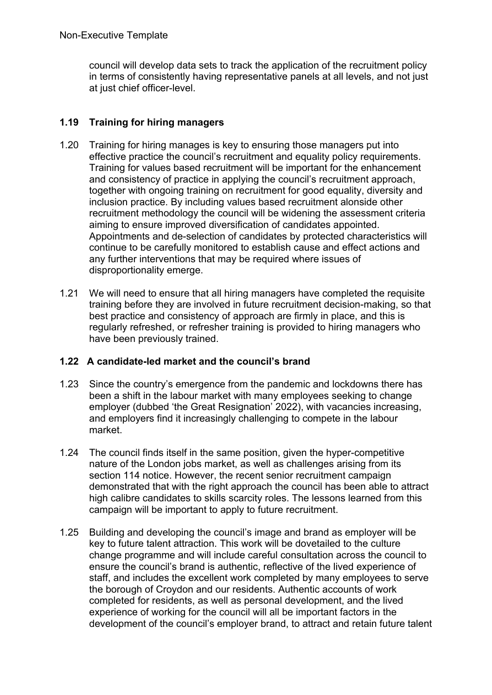council will develop data sets to track the application of the recruitment policy in terms of consistently having representative panels at all levels, and not just at just chief officer-level.

# **1.19 Training for hiring managers**

- 1.20 Training for hiring manages is key to ensuring those managers put into effective practice the council's recruitment and equality policy requirements. Training for values based recruitment will be important for the enhancement and consistency of practice in applying the council's recruitment approach, together with ongoing training on recruitment for good equality, diversity and inclusion practice. By including values based recruitment alonside other recruitment methodology the council will be widening the assessment criteria aiming to ensure improved diversification of candidates appointed. Appointments and de-selection of candidates by protected characteristics will continue to be carefully monitored to establish cause and effect actions and any further interventions that may be required where issues of disproportionality emerge.
- 1.21 We will need to ensure that all hiring managers have completed the requisite training before they are involved in future recruitment decision-making, so that best practice and consistency of approach are firmly in place, and this is regularly refreshed, or refresher training is provided to hiring managers who have been previously trained.

# **1.22 A candidate-led market and the council's brand**

- 1.23 Since the country's emergence from the pandemic and lockdowns there has been a shift in the labour market with many employees seeking to change employer (dubbed 'the Great Resignation' 2022), with vacancies increasing, and employers find it increasingly challenging to compete in the labour market.
- 1.24 The council finds itself in the same position, given the hyper-competitive nature of the London jobs market, as well as challenges arising from its section 114 notice. However, the recent senior recruitment campaign demonstrated that with the right approach the council has been able to attract high calibre candidates to skills scarcity roles. The lessons learned from this campaign will be important to apply to future recruitment.
- 1.25 Building and developing the council's image and brand as employer will be key to future talent attraction. This work will be dovetailed to the culture change programme and will include careful consultation across the council to ensure the council's brand is authentic, reflective of the lived experience of staff, and includes the excellent work completed by many employees to serve the borough of Croydon and our residents. Authentic accounts of work completed for residents, as well as personal development, and the lived experience of working for the council will all be important factors in the development of the council's employer brand, to attract and retain future talent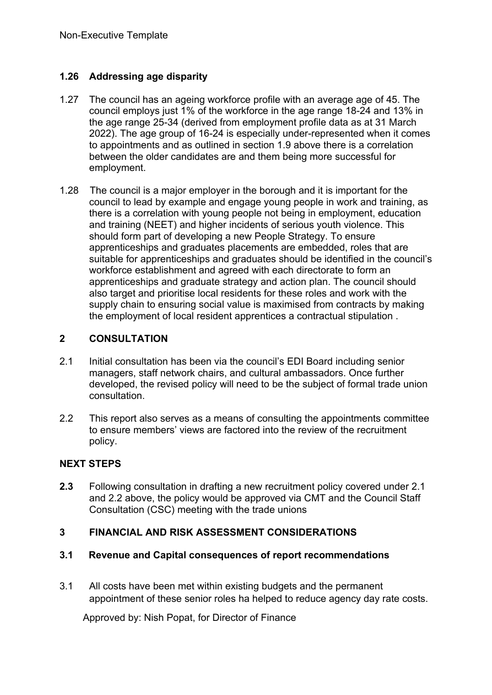# **1.26 Addressing age disparity**

- 1.27 The council has an ageing workforce profile with an average age of 45. The council employs just 1% of the workforce in the age range 18-24 and 13% in the age range 25-34 (derived from employment profile data as at 31 March 2022). The age group of 16-24 is especially under-represented when it comes to appointments and as outlined in section 1.9 above there is a correlation between the older candidates are and them being more successful for employment.
- 1.28 The council is a major employer in the borough and it is important for the council to lead by example and engage young people in work and training, as there is a correlation with young people not being in employment, education and training (NEET) and higher incidents of serious youth violence. This should form part of developing a new People Strategy. To ensure apprenticeships and graduates placements are embedded, roles that are suitable for apprenticeships and graduates should be identified in the council's workforce establishment and agreed with each directorate to form an apprenticeships and graduate strategy and action plan. The council should also target and prioritise local residents for these roles and work with the supply chain to ensuring social value is maximised from contracts by making the employment of local resident apprentices a contractual stipulation .

# **2 CONSULTATION**

- 2.1 Initial consultation has been via the council's EDI Board including senior managers, staff network chairs, and cultural ambassadors. Once further developed, the revised policy will need to be the subject of formal trade union consultation.
- 2.2 This report also serves as a means of consulting the appointments committee to ensure members' views are factored into the review of the recruitment policy.

# **NEXT STEPS**

**2.3** Following consultation in drafting a new recruitment policy covered under 2.1 and 2.2 above, the policy would be approved via CMT and the Council Staff Consultation (CSC) meeting with the trade unions

# **3 FINANCIAL AND RISK ASSESSMENT CONSIDERATIONS**

# **3.1 Revenue and Capital consequences of report recommendations**

3.1 All costs have been met within existing budgets and the permanent appointment of these senior roles ha helped to reduce agency day rate costs.

Approved by: Nish Popat, for Director of Finance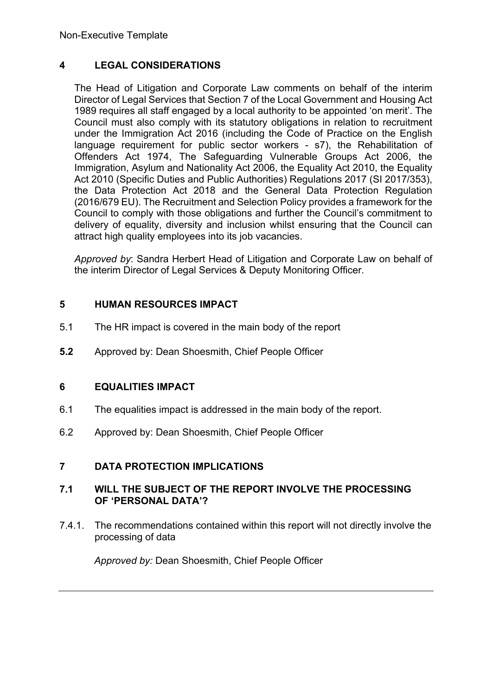# **4 LEGAL CONSIDERATIONS**

The Head of Litigation and Corporate Law comments on behalf of the interim Director of Legal Services that Section 7 of the Local Government and Housing Act 1989 requires all staff engaged by a local authority to be appointed 'on merit'. The Council must also comply with its statutory obligations in relation to recruitment under the Immigration Act 2016 (including the Code of Practice on the English language requirement for public sector workers - s7), the Rehabilitation of Offenders Act 1974, The Safeguarding Vulnerable Groups Act 2006, the Immigration, Asylum and Nationality Act 2006, the Equality Act 2010, the Equality Act 2010 (Specific Duties and Public Authorities) Regulations 2017 (SI 2017/353), the Data Protection Act 2018 and the General Data Protection Regulation (2016/679 EU). The Recruitment and Selection Policy provides a framework for the Council to comply with those obligations and further the Council's commitment to delivery of equality, diversity and inclusion whilst ensuring that the Council can attract high quality employees into its job vacancies.

*Approved by*: Sandra Herbert Head of Litigation and Corporate Law on behalf of the interim Director of Legal Services & Deputy Monitoring Officer.

# **5 HUMAN RESOURCES IMPACT**

- 5.1 The HR impact is covered in the main body of the report
- **5.2** Approved by: Dean Shoesmith, Chief People Officer

# **6 EQUALITIES IMPACT**

- 6.1 The equalities impact is addressed in the main body of the report.
- 6.2 Approved by: Dean Shoesmith, Chief People Officer

# **7 DATA PROTECTION IMPLICATIONS**

### **7.1 WILL THE SUBJECT OF THE REPORT INVOLVE THE PROCESSING OF 'PERSONAL DATA'?**

7.4.1. The recommendations contained within this report will not directly involve the processing of data

*Approved by:* Dean Shoesmith, Chief People Officer